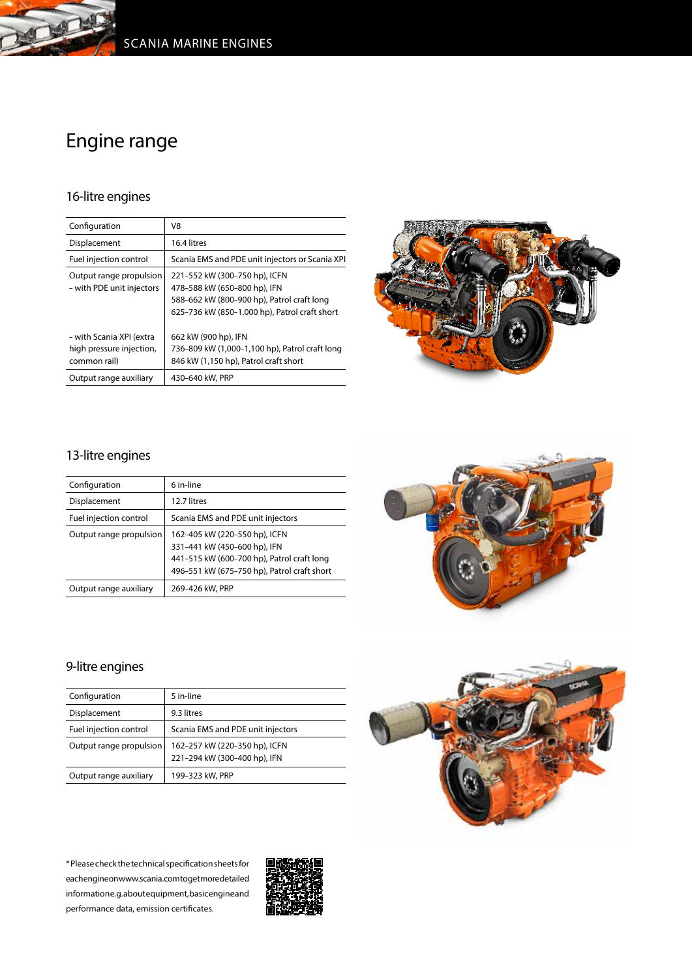

## Engine range

## 16-litre engines

| Configuration                                                        | V8                                                                                                                                                           |
|----------------------------------------------------------------------|--------------------------------------------------------------------------------------------------------------------------------------------------------------|
| Displacement                                                         | 16.4 litres                                                                                                                                                  |
| Fuel injection control                                               | Scania EMS and PDE unit injectors or Scania XPI                                                                                                              |
| Output range propulsion<br>- with PDE unit injectors                 | 221-552 kW (300-750 hp), ICFN<br>478-588 kW (650-800 hp), IFN<br>588-662 kW (800-900 hp), Patrol craft long<br>625-736 kW (850-1,000 hp), Patrol craft short |
| - with Scania XPI (extra<br>high pressure injection,<br>common rail) | 662 kW (900 hp), IFN<br>736-809 kW (1,000-1,100 hp), Patrol craft long<br>846 kW (1,150 hp), Patrol craft short                                              |
| Output range auxiliary                                               | 430-640 kW, PRP                                                                                                                                              |



## 13-litre engines

| Configuration           | 6 in-line                                                                                                                                                  |
|-------------------------|------------------------------------------------------------------------------------------------------------------------------------------------------------|
| Displacement            | 12.7 litres                                                                                                                                                |
| Fuel injection control  | Scania EMS and PDE unit injectors                                                                                                                          |
| Output range propulsion | 162-405 kW (220-550 hp), ICFN<br>331-441 kW (450-600 hp), IFN<br>441-515 kW (600-700 hp), Patrol craft long<br>496-551 kW (675-750 hp), Patrol craft short |
| Output range auxiliary  | 269-426 kW, PRP                                                                                                                                            |



## 9-litre engines

| Configuration           | 5 in-line                                                     |
|-------------------------|---------------------------------------------------------------|
| Displacement            | 9.3 litres                                                    |
| Fuel injection control  | Scania EMS and PDE unit injectors                             |
| Output range propulsion | 162-257 kW (220-350 hp), ICFN<br>221-294 kW (300-400 hp), IFN |
| Output range auxiliary  | 199-323 kW, PRP                                               |

\* Please check the technical specification sheets for each engine on www.scania.com to get more detailed informatione.g. about equipment, basic engine and performance data, emission certificates.